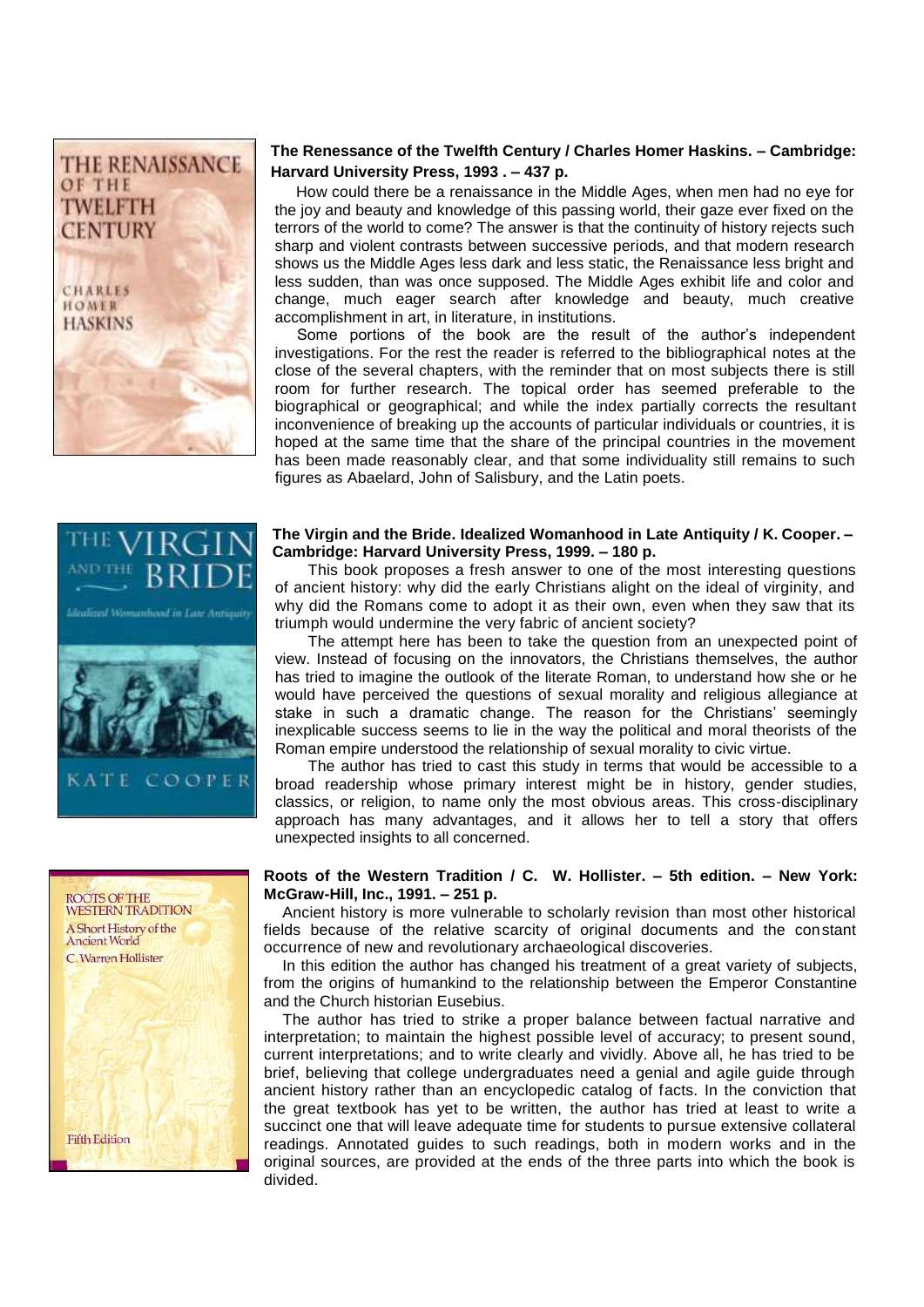

## **The Renessance of the Twelfth Century / Charles Homer Haskins. – Cambridge: Harvard University Press, 1993 . – 437 p.**

 How could there be a renaissance in the Middle Ages, when men had no eye for the joy and beauty and knowledge of this passing world, their gaze ever fixed on the terrors of the world to come? The answer is that the continuity of history rejects such sharp and violent contrasts between successive periods, and that modern research shows us the Middle Ages less dark and less static, the Renaissance less bright and less sudden, than was once supposed. The Middle Ages exhibit life and color and change, much eager search after knowledge and beauty, much creative accomplishment in art, in literature, in institutions.

 Some portions of the book are the result of the author's independent investigations. For the rest the reader is referred to the bibliographical notes at the close of the several chapters, with the reminder that on most subjects there is still room for further research. The topical order has seemed preferable to the biographical or geographical; and while the index partially corrects the resultant inconvenience of breaking up the accounts of particular individuals or countries, it is hoped at the same time that the share of the principal countries in the movement has been made reasonably clear, and that some individuality still remains to such figures as Abaelard, John of Salisbury, and the Latin poets.

#### **The Virgin and the Bride. Idealized Womanhood in Late Antiquity / K. Cooper. – Cambridge: Harvard University Press, 1999. – 180 p.**

This book proposes a fresh answer to one of the most interesting questions of ancient history: why did the early Christians alight on the ideal of virginity, and why did the Romans come to adopt it as their own, even when they saw that its triumph would undermine the very fabric of ancient society?

The attempt here has been to take the question from an unexpected point of view. Instead of focusing on the innovators, the Christians themselves, the author has tried to imagine the outlook of the literate Roman, to understand how she or he would have perceived the questions of sexual morality and religious allegiance at stake in such a dramatic change. The reason for the Christians' seemingly inexplicable success seems to lie in the way the political and moral theorists of the Roman empire understood the relationship of sexual morality to civic virtue.

The author has tried to cast this study in terms that would be accessible to a broad readership whose primary interest might be in history, gender studies, classics, or religion, to name only the most obvious areas. This cross-disciplinary approach has many advantages, and it allows her to tell a story that offers unexpected insights to all concerned.

## **Roots of the Western Tradition / C. W. Hollister. – 5th edition. – New York: McGraw-Hill, Inc., 1991. – 251 p.**

Ancient history is more vulnerable to scholarly revision than most other historical fields because of the relative scarcity of original documents and the constant occurrence of new and revolutionary archaeological discoveries.

In this edition the author has changed his treatment of a great variety of subjects, from the origins of humankind to the relationship between the Emperor Constantine and the Church historian Eusebius.

The author has tried to strike a proper balance between factual narrative and interpretation; to maintain the highest possible level of accuracy; to present sound, current interpretations; and to write clearly and vividly. Above all, he has tried to be brief, believing that college undergraduates need a genial and agile guide through ancient history rather than an encyclopedic catalog of facts. In the conviction that the great textbook has yet to be written, the author has tried at least to write a succinct one that will leave adequate time for students to pursue extensive collateral readings. Annotated guides to such readings, both in modern works and in the original sources, are provided at the ends of the three parts into which the book is divided.



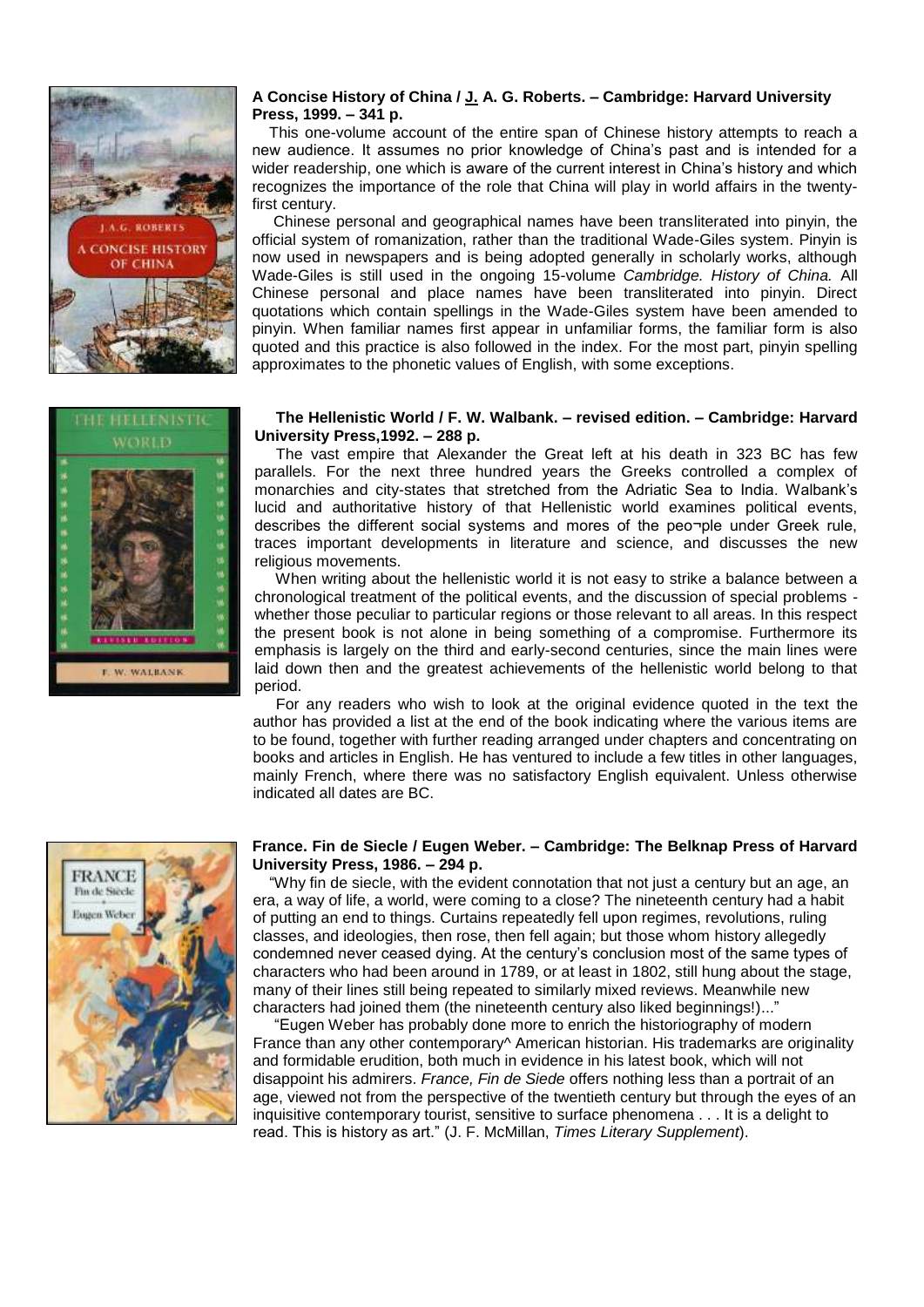

#### **A Concise History of China / [J.](https://catalog.msu.by/opac/index.php?url=/auteurs/view/12848/source:default) A. G. Roberts. – Cambridge: Harvard University Press, 1999. – 341 p.**

 This one-volume account of the entire span of Chinese history attempts to reach a new audience. It assumes no prior knowledge of China's past and is intended for a wider readership, one which is aware of the current interest in China's history and which recognizes the importance of the role that China will play in world affairs in the twentyfirst century.

 Chinese personal and geographical names have been transliterated into pinyin, the official system of romanization, rather than the traditional Wade-Giles system. Pinyin is now used in newspapers and is being adopted generally in scholarly works, although Wade-Giles is still used in the ongoing 15-volume *Cambridge. History of China.* All Chinese personal and place names have been transliterated into pinyin. Direct quotations which contain spellings in the Wade-Giles system have been amended to pinyin. When familiar names first appear in unfamiliar forms, the familiar form is also quoted and this practice is also followed in the index. For the most part, pinyin spelling approximates to the phonetic values of English, with some exceptions.



#### **The Hellenistic World / F. W. Walbank. – revised edition. – Cambridge: Harvard University Press,1992. – 288 p.**

 The vast empire that Alexander the Great left at his death in 323 BC has few parallels. For the next three hundred years the Greeks controlled a complex of monarchies and city-states that stretched from the Adriatic Sea to India. Walbank's lucid and authoritative history of that Hellenistic world examines political events, describes the different social systems and mores of the peo¬ple under Greek rule, traces important developments in literature and science, and discusses the new religious movements.

 When writing about the hellenistic world it is not easy to strike a balance between a chronological treatment of the political events, and the discussion of special problems whether those peculiar to particular regions or those relevant to all areas. In this respect the present book is not alone in being something of a compromise. Furthermore its emphasis is largely on the third and early-second centuries, since the main lines were laid down then and the greatest achievements of the hellenistic world belong to that period.

 For any readers who wish to look at the original evidence quoted in the text the author has provided a list at the end of the book indicating where the various items are to be found, together with further reading arranged under chapters and concentrating on books and articles in English. He has ventured to include a few titles in other languages, mainly French, where there was no satisfactory English equivalent. Unless otherwise indicated all dates are BC.



#### **France. Fin de Siecle / Eugen Weber. – Cambridge: The Belknap Press of Harvard University Press, 1986. – 294 p.**

 "Why fin de siecle, with the evident connotation that not just a сеntury but an age, an era, a way of life, a world, were coming to a close? The nineteenth century had a habit of putting an end to things. Curtains repeatedly fell upon regimes, revolutions, ruling classes, and ideologies, then rose, then fell again; but those whom history allegedly condemned never ceased dying. At the century's conclusion most of the same types of characters who had been around in 1789, or at least in 1802, still hung about the stage, many of their lines still being repeated to similarly mixed reviews. Meanwhile new characters had joined them (the nineteenth century also liked beginnings!)..."

 "Eugen Weber has probably done more to enrich the historiography of modern France than any other contemporary<sup>^</sup> American historian. His trademarks are originality and formidable erudition, both much in evidence in his latest book, which will not disappoint his admirers. *France, Fin de Siede* offers nothing less than a portrait of an age, viewed not from the perspective of the twentieth century but through the eyes of an inquisitive contemporary tourist, sensitive to surface phenomena . . . It is a delight to read. This is history as art." (J. F. McMillan, *Times Literary Supplement*).